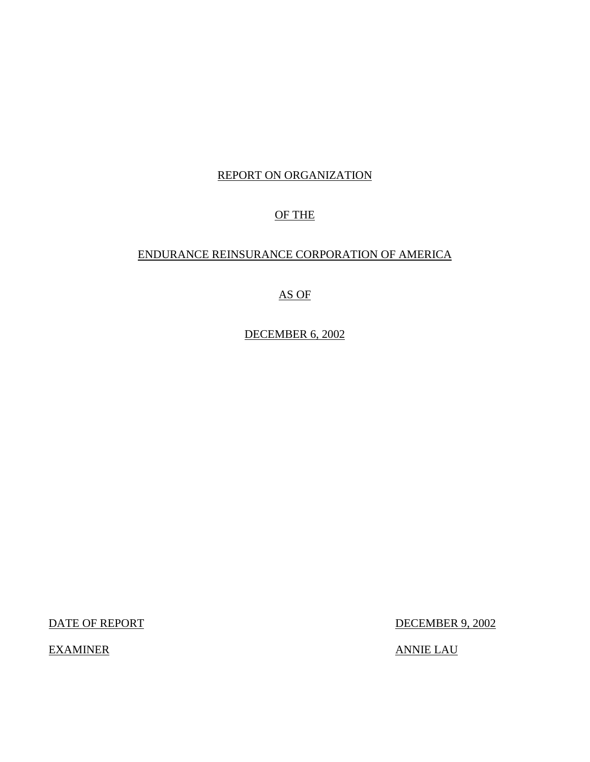## REPORT ON ORGANIZATION

## OF THE

## ENDURANCE REINSURANCE CORPORATION OF AMERICA

# AS OF

DECEMBER 6, 2002

EXAMINER ANNIE LAU

DATE OF REPORT DECEMBER 9, 2002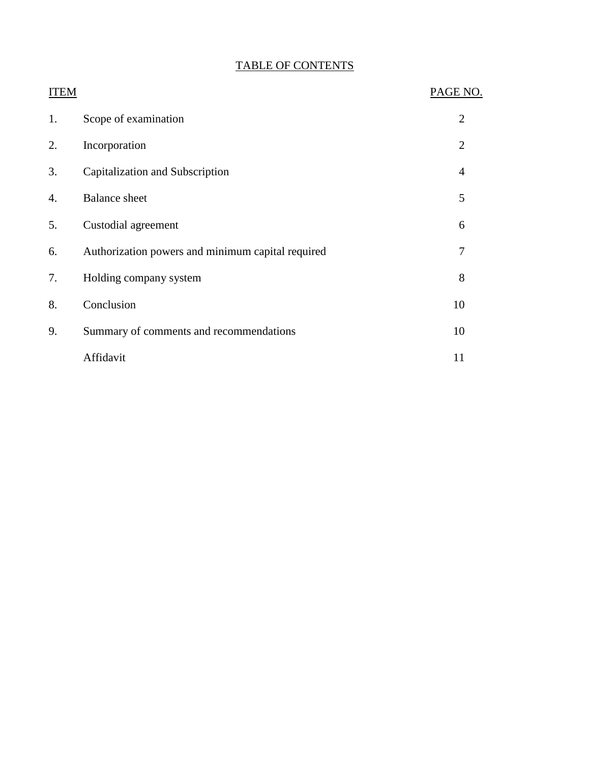# TABLE OF CONTENTS

| <b>ITEM</b> |                                                   | PAGE NO.       |
|-------------|---------------------------------------------------|----------------|
| 1.          | Scope of examination                              | $\overline{2}$ |
| 2.          | Incorporation                                     | $\overline{2}$ |
| 3.          | Capitalization and Subscription                   | $\overline{4}$ |
| 4.          | <b>Balance</b> sheet                              | 5              |
| 5.          | Custodial agreement                               | 6              |
| 6.          | Authorization powers and minimum capital required | 7              |
| 7.          | Holding company system                            | 8              |
| 8.          | Conclusion                                        | 10             |
| 9.          | Summary of comments and recommendations           | 10             |
|             | Affidavit                                         | 11             |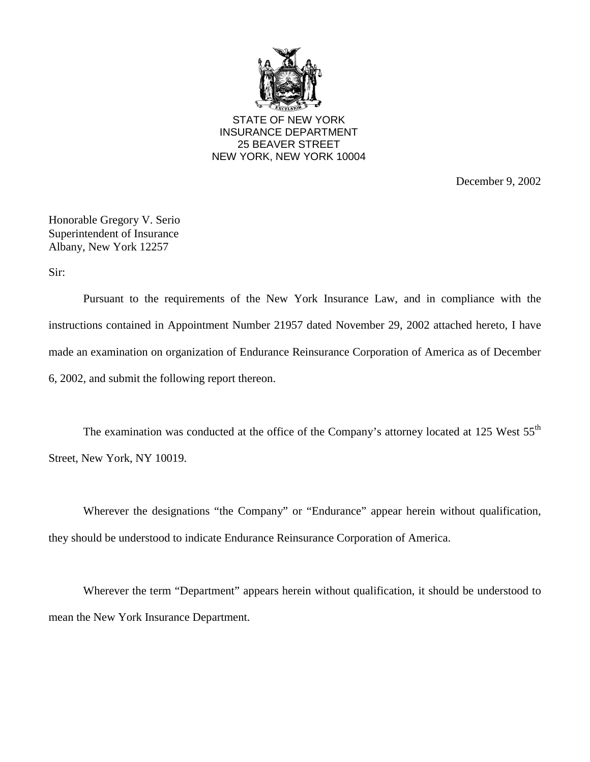

STATE OF NEW YORK INSURANCE DEPARTMENT 25 BEAVER STREET NEW YORK, NEW YORK 10004

December 9, 2002

Honorable Gregory V. Serio Superintendent of Insurance Albany, New York 12257

Sir:

 Pursuant to the requirements of the New York Insurance Law, and in compliance with the instructions contained in Appointment Number 21957 dated November 29, 2002 attached hereto, I have made an examination on organization of Endurance Reinsurance Corporation of America as of December 6, 2002, and submit the following report thereon.

The examination was conducted at the office of the Company's attorney located at 125 West 55<sup>th</sup> Street, New York, NY 10019.

Wherever the designations "the Company" or "Endurance" appear herein without qualification, they should be understood to indicate Endurance Reinsurance Corporation of America.

Wherever the term "Department" appears herein without qualification, it should be understood to mean the New York Insurance Department.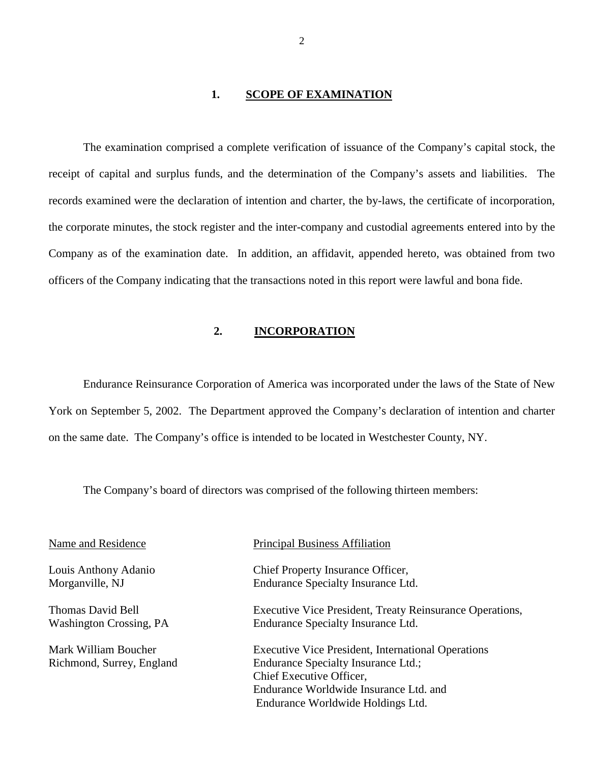#### 1. SCOPE OF EXAMINATION

<span id="page-3-0"></span> the corporate minutes, the stock register and the inter-company and custodial agreements entered into by the Company as of the examination date. In addition, an affidavit, appended hereto, was obtained from two The examination comprised a complete verification of issuance of the Company's capital stock, the receipt of capital and surplus funds, and the determination of the Company's assets and liabilities. The records examined were the declaration of intention and charter, the by-laws, the certificate of incorporation, officers of the Company indicating that the transactions noted in this report were lawful and bona fide.

### **2. INCORPORATION**

Endurance Reinsurance Corporation of America was incorporated under the laws of the State of New York on September 5, 2002. The Department approved the Company's declaration of intention and charter on the same date. The Company's office is intended to be located in Westchester County, NY.

The Company's board of directors was comprised of the following thirteen members:

| Name and Residence                                | <b>Principal Business Affiliation</b>                                                            |
|---------------------------------------------------|--------------------------------------------------------------------------------------------------|
| Louis Anthony Adanio<br>Morganville, NJ           | Chief Property Insurance Officer,<br>Endurance Specialty Insurance Ltd.                          |
| Thomas David Bell<br>Washington Crossing, PA      | Executive Vice President, Treaty Reinsurance Operations,<br>Endurance Specialty Insurance Ltd.   |
| Mark William Boucher<br>Richmond, Surrey, England | <b>Executive Vice President, International Operations</b><br>Endurance Specialty Insurance Ltd.; |
|                                                   | Chief Executive Officer,                                                                         |
|                                                   | Endurance Worldwide Insurance Ltd. and                                                           |
|                                                   | Endurance Worldwide Holdings Ltd.                                                                |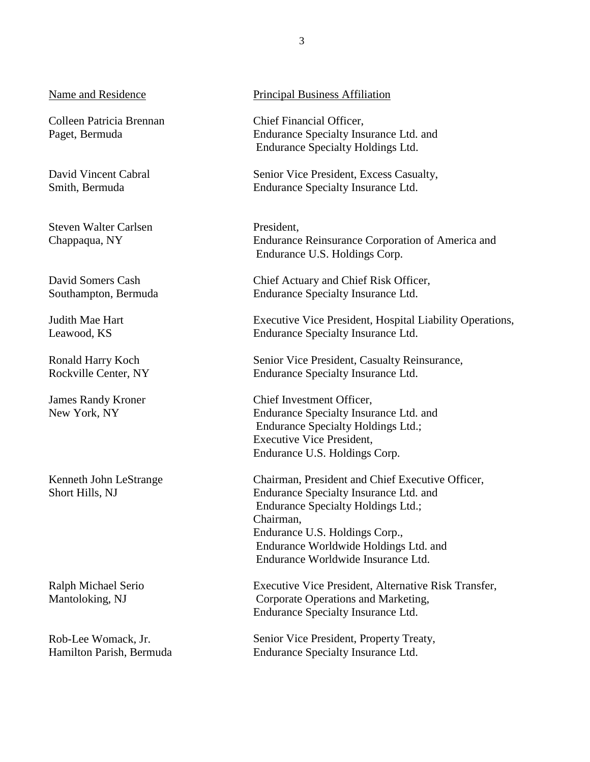### Name and Residence

Colleen Patricia Brennan Paget, Bermuda

David Vincent Cabral Smith, Bermuda

Steven Walter Carlsen Chappaqua, NY

David Somers Cash Southampton, Bermuda

Judith Mae Hart Leawood, KS

Ronald Harry Koch Rockville Center, NY

James Randy Kroner New York, NY

Kenneth John LeStrange Short Hills, NJ

Ralph Michael Serio Mantoloking, NJ

Rob-Lee Womack, Jr. Hamilton Parish, Bermuda

#### Principal Business Affiliation

Chief Financial Officer, Endurance Specialty Insurance Ltd. and Endurance Specialty Holdings Ltd.

Senior Vice President, Excess Casualty, Endurance Specialty Insurance Ltd.

President, Endurance Reinsurance Corporation of America and Endurance U.S. Holdings Corp.

Chief Actuary and Chief Risk Officer, Endurance Specialty Insurance Ltd.

Executive Vice President, Hospital Liability Operations, Endurance Specialty Insurance Ltd.

Senior Vice President, Casualty Reinsurance, Endurance Specialty Insurance Ltd.

Chief Investment Officer, Endurance Specialty Insurance Ltd. and Endurance Specialty Holdings Ltd.; Executive Vice President, Endurance U.S. Holdings Corp.

Chairman, President and Chief Executive Officer, Endurance Specialty Insurance Ltd. and Endurance Specialty Holdings Ltd.; Chairman, Endurance U.S. Holdings Corp., Endurance Worldwide Holdings Ltd. and Endurance Worldwide Insurance Ltd.

Executive Vice President, Alternative Risk Transfer, Corporate Operations and Marketing, Endurance Specialty Insurance Ltd.

Senior Vice President, Property Treaty, Endurance Specialty Insurance Ltd.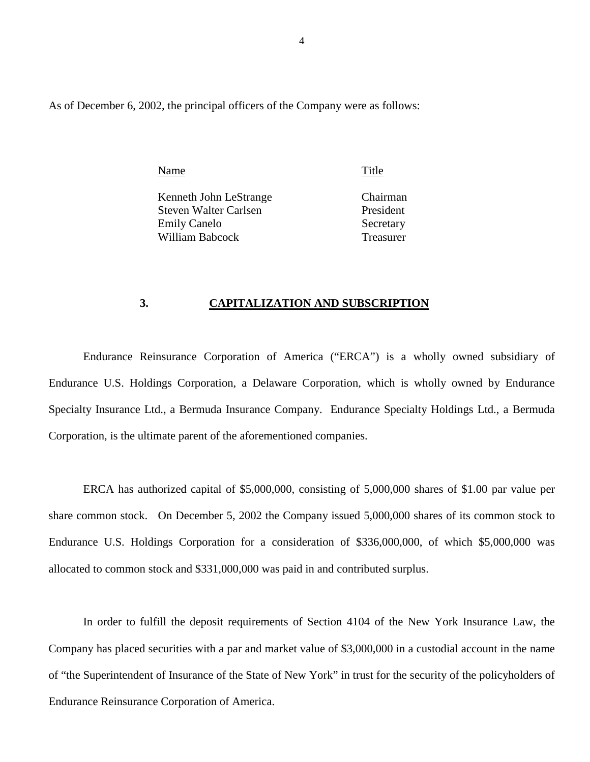<span id="page-5-0"></span>As of December 6, 2002, the principal officers of the Company were as follows:

Name Title

Kenneth John LeStrange Chairman Steven Walter Carlsen President Emily Canelo Secretary William Babcock Treasurer

### **3. CAPITALIZATION AND SUBSCRIPTION**

 Endurance U.S. Holdings Corporation, a Delaware Corporation, which is wholly owned by Endurance Endurance Reinsurance Corporation of America ("ERCA") is a wholly owned subsidiary of Specialty Insurance Ltd., a Bermuda Insurance Company. Endurance Specialty Holdings Ltd., a Bermuda Corporation, is the ultimate parent of the aforementioned companies.

ERCA has authorized capital of \$5,000,000, consisting of 5,000,000 shares of \$1.00 par value per share common stock. On December 5, 2002 the Company issued 5,000,000 shares of its common stock to Endurance U.S. Holdings Corporation for a consideration of \$336,000,000, of which \$5,000,000 was allocated to common stock and \$331,000,000 was paid in and contributed surplus.

In order to fulfill the deposit requirements of Section 4104 of the New York Insurance Law, the Company has placed securities with a par and market value of \$3,000,000 in a custodial account in the name of "the Superintendent of Insurance of the State of New York" in trust for the security of the policyholders of Endurance Reinsurance Corporation of America.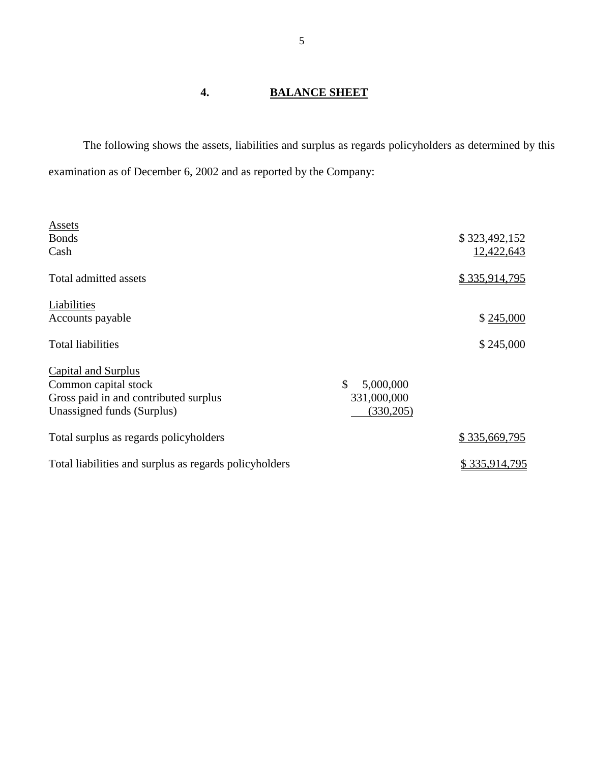# **4. BALANCE SHEET**

 The following shows the assets, liabilities and surplus as regards policyholders as determined by this examination as of December 6, 2002 and as reported by the Company:

| <b>Assets</b>                                          |                            |               |
|--------------------------------------------------------|----------------------------|---------------|
| <b>Bonds</b>                                           |                            | \$323,492,152 |
| Cash                                                   |                            | 12,422,643    |
| Total admitted assets                                  |                            | \$335,914,795 |
| Liabilities                                            |                            |               |
| Accounts payable                                       |                            | \$245,000     |
| <b>Total liabilities</b>                               |                            | \$245,000     |
| <b>Capital and Surplus</b>                             |                            |               |
| Common capital stock                                   | $\mathcal{S}$<br>5,000,000 |               |
| Gross paid in and contributed surplus                  | 331,000,000                |               |
| Unassigned funds (Surplus)                             | (330, 205)                 |               |
| Total surplus as regards policyholders                 |                            | \$335,669,795 |
| Total liabilities and surplus as regards policyholders |                            | \$335,914,795 |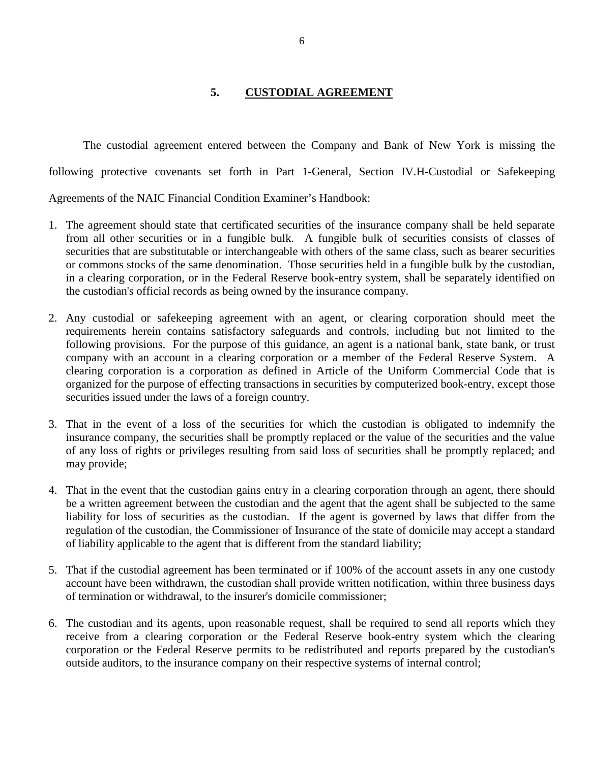## **5. CUSTODIAL AGREEMENT**

<span id="page-7-0"></span> The custodial agreement entered between the Company and Bank of New York is missing the following protective covenants set forth in Part 1-General, Section IV.H-Custodial or Safekeeping Agreements of the NAIC Financial Condition Examiner's Handbook:

- securities that are substitutable or interchangeable with others of the same class, such as bearer securities 1. The agreement should state that certificated securities of the insurance company shall be held separate from all other securities or in a fungible bulk. A fungible bulk of securities consists of classes of or commons stocks of the same denomination. Those securities held in a fungible bulk by the custodian, in a clearing corporation, or in the Federal Reserve book-entry system, shall be separately identified on the custodian's official records as being owned by the insurance company.
- clearing corporation is a corporation as defined in Article of the Uniform Commercial Code that is 2. Any custodial or safekeeping agreement with an agent, or clearing corporation should meet the requirements herein contains satisfactory safeguards and controls, including but not limited to the following provisions. For the purpose of this guidance, an agent is a national bank, state bank, or trust company with an account in a clearing corporation or a member of the Federal Reserve System. A organized for the purpose of effecting transactions in securities by computerized book-entry, except those securities issued under the laws of a foreign country.
- of any loss of rights or privileges resulting from said loss of securities shall be promptly replaced; and 3. That in the event of a loss of the securities for which the custodian is obligated to indemnify the insurance company, the securities shall be promptly replaced or the value of the securities and the value may provide;
- be a written agreement between the custodian and the agent that the agent shall be subjected to the same liability for loss of securities as the custodian. If the agent is governed by laws that differ from the 4. That in the event that the custodian gains entry in a clearing corporation through an agent, there should regulation of the custodian, the Commissioner of Insurance of the state of domicile may accept a standard of liability applicable to the agent that is different from the standard liability;
- 5. That if the custodial agreement has been terminated or if 100% of the account assets in any one custody account have been withdrawn, the custodian shall provide written notification, within three business days of termination or withdrawal, to the insurer's domicile commissioner;
- 6. The custodian and its agents, upon reasonable request, shall be required to send all reports which they receive from a clearing corporation or the Federal Reserve book-entry system which the clearing corporation or the Federal Reserve permits to be redistributed and reports prepared by the custodian's outside auditors, to the insurance company on their respective systems of internal control;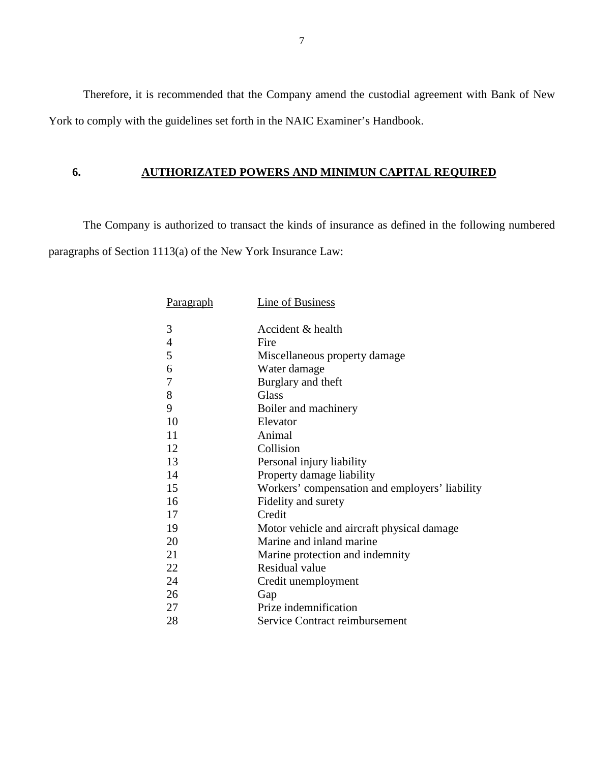<span id="page-8-0"></span> Therefore, it is recommended that the Company amend the custodial agreement with Bank of New York to comply with the guidelines set forth in the NAIC Examiner's Handbook.

## **6. AUTHORIZATED POWERS AND MINIMUN CAPITAL REQUIRED**

 The Company is authorized to transact the kinds of insurance as defined in the following numbered paragraphs of Section 1113(a) of the New York Insurance Law:

| <u>Paragraph</u> | <b>Line of Business</b>                        |
|------------------|------------------------------------------------|
|                  |                                                |
| 3                | Accident & health                              |
| $\overline{4}$   | Fire                                           |
| 5                | Miscellaneous property damage                  |
| 6                | Water damage                                   |
| 7                | Burglary and theft                             |
| 8                | <b>Glass</b>                                   |
| 9                | Boiler and machinery                           |
| 10               | Elevator                                       |
| 11               | Animal                                         |
| 12               | Collision                                      |
| 13               | Personal injury liability                      |
| 14               | Property damage liability                      |
| 15               | Workers' compensation and employers' liability |
| 16               | Fidelity and surety                            |
| 17               | Credit                                         |
| 19               | Motor vehicle and aircraft physical damage     |
| 20               | Marine and inland marine                       |
| 21               | Marine protection and indemnity                |
| 22               | Residual value                                 |
| 24               | Credit unemployment                            |
| 26               | Gap                                            |
| 27               | Prize indemnification                          |
| 28               | Service Contract reimbursement                 |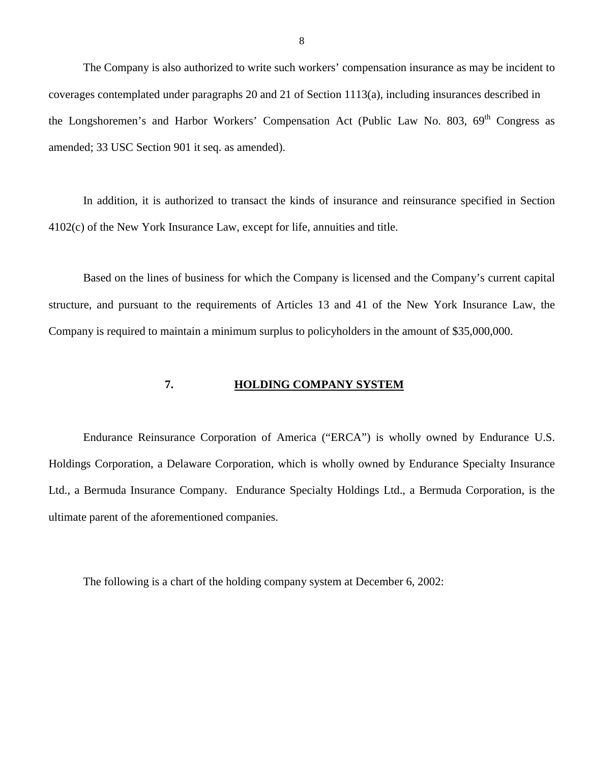<span id="page-9-0"></span>The Company is also authorized to write such workers' compensation insurance as may be incident to coverages contemplated under paragraphs 20 and 21 of Section 1113(a), including insurances described in the Longshoremen's and Harbor Workers' Compensation Act (Public Law No. 803, 69<sup>th</sup> Congress as amended; 33 USC Section 901 it seq. as amended).

In addition, it is authorized to transact the kinds of insurance and reinsurance specified in Section 4102(c) of the New York Insurance Law, except for life, annuities and title.

 Based on the lines of business for which the Company is licensed and the Company's current capital structure, and pursuant to the requirements of Articles 13 and 41 of the New York Insurance Law, the Company is required to maintain a minimum surplus to policyholders in the amount of \$35,000,000.

#### **7. HOLDING COMPANY SYSTEM**

 Endurance Reinsurance Corporation of America ("ERCA") is wholly owned by Endurance U.S. Holdings Corporation, a Delaware Corporation, which is wholly owned by Endurance Specialty Insurance Ltd., a Bermuda Insurance Company. Endurance Specialty Holdings Ltd., a Bermuda Corporation, is the ultimate parent of the aforementioned companies.

The following is a chart of the holding company system at December 6, 2002:

8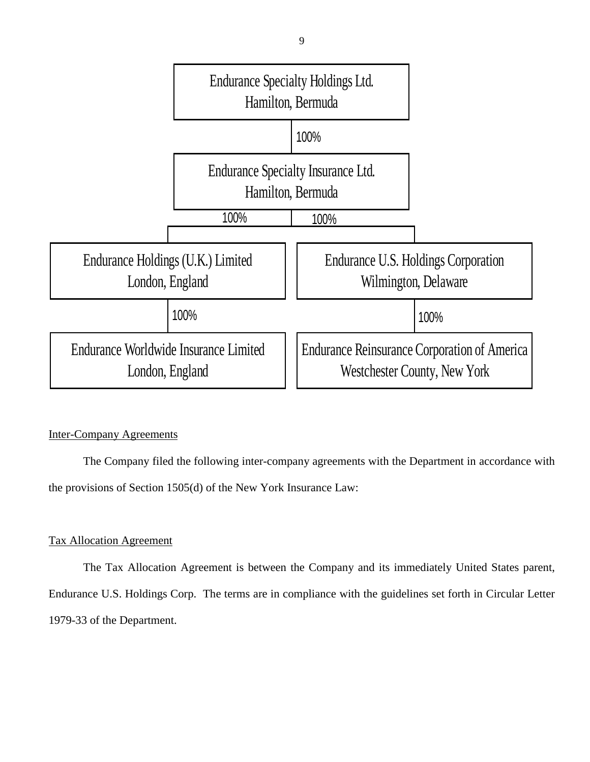

## Inter-Company Agreements

 The Company filed the following inter-company agreements with the Department in accordance with the provisions of Section 1505(d) of the New York Insurance Law:

## Tax Allocation Agreement

The Tax Allocation Agreement is between the Company and its immediately United States parent, Endurance U.S. Holdings Corp. The terms are in compliance with the guidelines set forth in Circular Letter 1979-33 of the Department.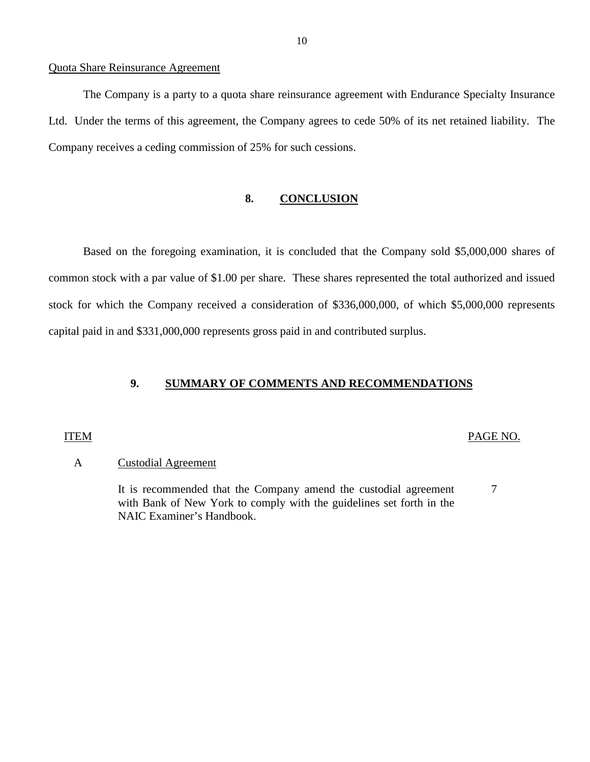#### <span id="page-11-0"></span>Quota Share Reinsurance Agreement

 Ltd. Under the terms of this agreement, the Company agrees to cede 50% of its net retained liability. The The Company is a party to a quota share reinsurance agreement with Endurance Specialty Insurance Company receives a ceding commission of 25% for such cessions.

### **8. CONCLUSION**

Based on the foregoing examination, it is concluded that the Company sold \$5,000,000 shares of common stock with a par value of \$1.00 per share. These shares represented the total authorized and issued stock for which the Company received a consideration of \$336,000,000, of which \$5,000,000 represents capital paid in and \$331,000,000 represents gross paid in and contributed surplus.

### **9. SUMMARY OF COMMENTS AND RECOMMENDATIONS**

#### ITEM PAGE NO.

#### A Custodial Agreement

 with Bank of New York to comply with the guidelines set forth in the It is recommended that the Company amend the custodial agreement 7 NAIC Examiner's Handbook.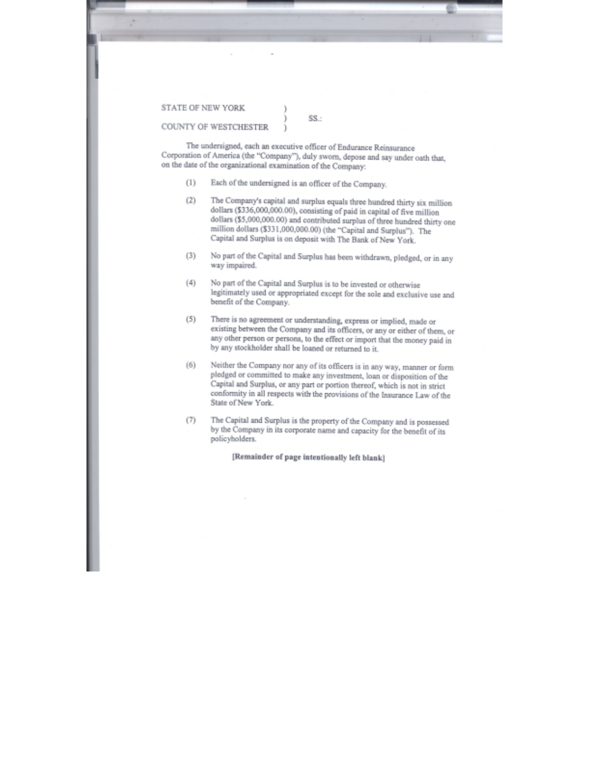<span id="page-12-0"></span>STATE OF NEW YORK

 $SS -$ 

COUNTY OF WESTCHESTER

The undersigned, each an executive officer of Endurance Reinsurance Corporation of America (the "Company"), duly sworn, depose and say under oath that, on the date of the organizational examination of the Company:

- Each of the undersigned is an officer of the Company.  $(1)$
- The Company's capital and surplus equals three hundred thirty six million  $(2)$ dollars (\$336,000,000.00), consisting of paid in capital of five million dollars (\$5,000,000.00) and contributed surplus of three hundred thirty one million dollars (\$331,000,000.00) (the "Capital and Surplus"). The Capital and Surplus is on deposit with The Bank of New York.
- No part of the Capital and Surplus has been withdrawn, pledged, or in any  $(3)$ way impaired.
- $(4)$ No part of the Capital and Surplus is to be invested or otherwise legitimately used or appropriated except for the sole and exclusive use and benefit of the Company.
- There is no agreement or understanding, express or implied, made or  $(5)$ existing between the Company and its officers, or any or either of them, or any other person or persons, to the effect or import that the money paid in by any stockholder shall be loaned or returned to it.
- Neither the Company nor any of its officers is in any way, manner or form  $(6)$ pledged or committed to make any investment, loan or disposition of the Capital and Surplus, or any part or portion thereof, which is not in strict conformity in all respects with the provisions of the Insurance Law of the State of New York.
- The Capital and Surplus is the property of the Company and is possessed  $(7)$ by the Company in its corporate name and capacity for the benefit of its policyholders.

[Remainder of page intentionally left blank]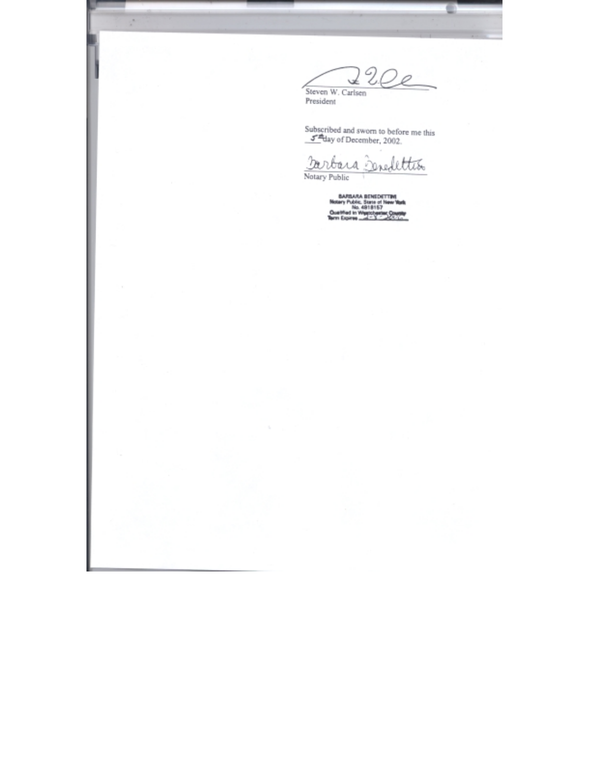U. √ 0 Steven W. Carlsen<br>President

Subscribed and sworn to before me this  $\frac{J^{\text{eff}}}{J}$  day of December, 2002.

Darbara Senedettion Notary Public

**BARBARA BENEDETTING**<br>Notary Public, State of New York<br>Ouelfied in Westerland, Counties<br>New Expires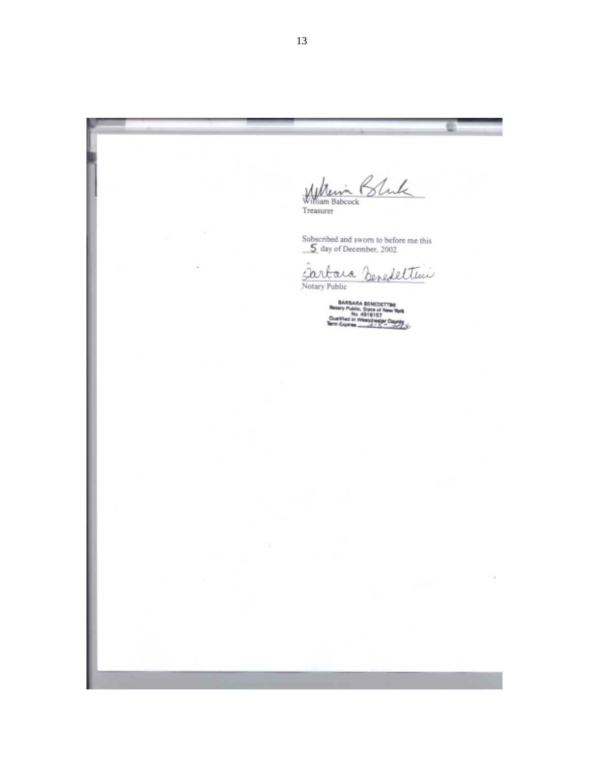Bluk Millerin 1<br>William Babcock<br>Treasurer

c

 $\lambda$ 

Subscribed and sworn to before me this  $\underline{\underline{\smash{\text{5}}}}$  day of December, 2002.

Sartara Benedeltini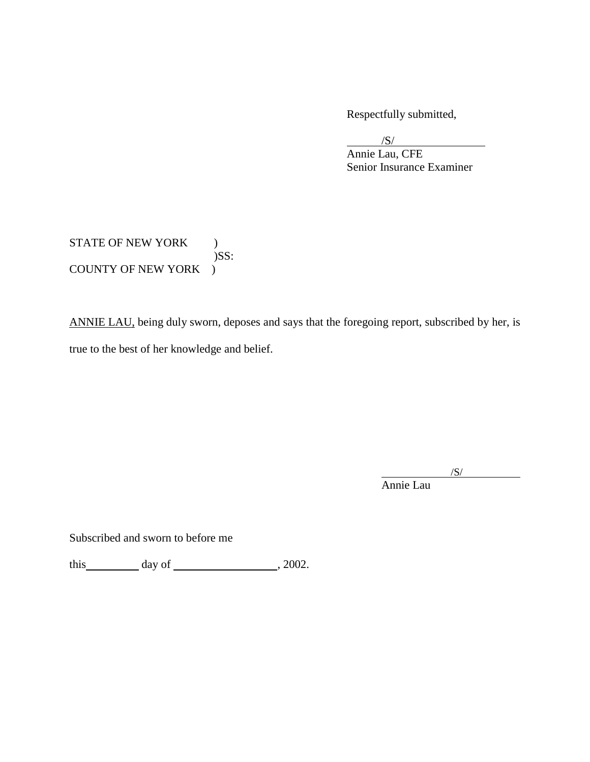Respectfully submitted,

/S/

l Annie Lau, CFE Senior Insurance Examiner

## STATE OF NEW YORK ) )SS: COUNTY OF NEW YORK )

ANNIE LAU, being duly sworn, deposes and says that the foregoing report, subscribed by her, is true to the best of her knowledge and belief.

 $/S/$ 

Annie Lau

l

Subscribed and sworn to before me

this  $\qquad \qquad \text{day of} \qquad \qquad .2002.$